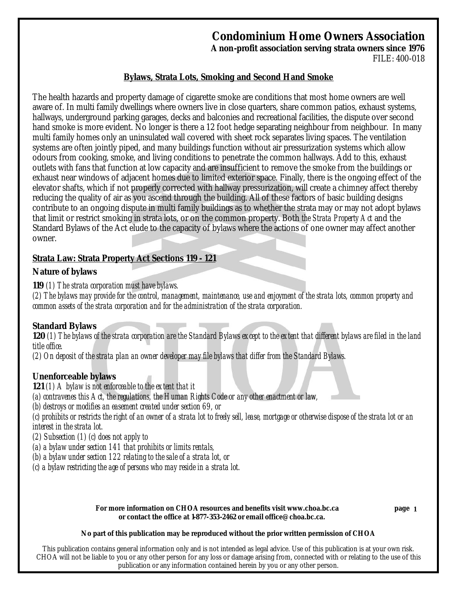# **Condominium Home Owners Association**

**A non-profit association serving strata owners since 1976** FILE: 400-018

### **Bylaws, Strata Lots, Smoking and Second Hand Smoke**

The health hazards and property damage of cigarette smoke are conditions that most home owners are well aware of. In multi family dwellings where owners live in close quarters, share common patios, exhaust systems, hallways, underground parking garages, decks and balconies and recreational facilities, the dispute over second hand smoke is more evident. No longer is there a 12 foot hedge separating neighbour from neighbour. In many multi family homes only an uninsulated wall covered with sheet rock separates living spaces. The ventilation systems are often jointly piped, and many buildings function without air pressurization systems which allow odours from cooking, smoke, and living conditions to penetrate the common hallways. Add to this, exhaust outlets with fans that function at low capacity and are insufficient to remove the smoke from the buildings or exhaust near windows of adjacent homes due to limited exterior space. Finally, there is the ongoing effect of the elevator shafts, which if not properly corrected with hallway pressurization, will create a chimney affect thereby reducing the quality of air as you ascend through the building. All of these factors of basic building designs contribute to an ongoing dispute in multi family buildings as to whether the strata may or may not adopt bylaws that limit or restrict smoking in strata lots, or on the common property. Both *the Strata Property Act* and the Standard Bylaws of the Act elude to the capacity of bylaws where the actions of one owner may affect another owner.

### **Strata Law:** *Strata Property Act Sections* **119 - 121**

### *Nature of bylaws*

*119 (1) The strata corporation must have bylaws.*

*(2) The bylaws may provide for the control, management, maintenance, use and enjoyment of the strata lots, common property and common assets of the strata corporation and for the administration of the strata corporation.*

### *Standard Bylaws*

*120 (1) The bylaws of the strata corporation are the Standard Bylaws except to the extent that different bylaws are filed in the land title office.*

*(2) On deposit of the strata plan an owner developer may file bylaws that differ from the Standard Bylaws.*

### *Unenforceable bylaws*

*121 (1) A bylaw is not enforceable to the extent that it*

*(a) contravenes this Act, the regulations, the Human Rights Code or any other enactment or law,*

*(b) destroys or modifies an easement created under section 69, or*

*(c) prohibits or restricts the right of an owner of a strata lot to freely sell, lease, mortgage or otherwise dispose of the strata lot or an interest in the strata lot.*

*(2) Subsection (1) (c) does not apply to*

*(a) a bylaw under section 141 that prohibits or limits rentals,*

*(b) a bylaw under section 122 relating to the sale of a strata lot, or*

*(c) a bylaw restricting the age of persons who may reside in a strata lot.*

For more information on CHOA resources and benefits visit www.choa.bc.ca **or contact the office at 1-877-353-2462 or email office@choa.bc.ca.**

**1**

#### **No part of this publication may be reproduced without the prior written permission of CHOA**

This publication contains general information only and is not intended as legal advice. Use of this publication is at your own risk. CHOA will not be liable to you or any other person for any loss or damage arising from, connected with or relating to the use of this publication or any information contained herein by you or any other person.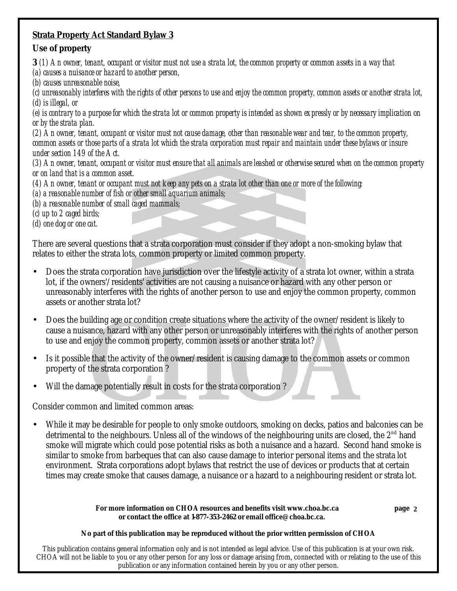# **Strata Property Act Standard Bylaw 3**

# *Use of property*

*3 (1) An owner, tenant, occupant or visitor must not use a strata lot, the common property or common assets in a way that (a) causes a nuisance or hazard to another person,*

*(b) causes unreasonable noise,*

*(c) unreasonably interferes with the rights of other persons to use and enjoy the common property, common assets or another strata lot, (d) is illegal, or*

*(e) is contrary to a purpose for which the strata lot or common property is intended as shown expressly or by necessary implication on or by the strata plan.*

*(2) An owner, tenant, occupant or visitor must not cause damage, other than reasonable wear and tear, to the common property, common assets or those parts of a strata lot which the strata corporation must repair and maintain under these bylaws or insure under section 149 of the Act.*

*(3) An owner, tenant, occupant or visitor must ensure that all animals are leashed or otherwise secured when on the common property or on land that is a common asset.*

*(4) An owner, tenant or occupant must not keep any pets on a strata lot other than one or more of the following:*

*(a) a reasonable number of fish or other small aquarium animals;*

*(b) a reasonable number of small caged mammals;*

*(c) up to 2 caged birds;*

*(d) one dog or one cat.*

There are several questions that a strata corporation must consider if they adopt a non-smoking bylaw that relates to either the strata lots, common property or limited common property.

- Does the strata corporation have jurisdiction over the lifestyle activity of a strata lot owner, within a strata lot, if the owners'/residents' activities are not causing a nuisance or hazard with any other person or unreasonably interferes with the rights of another person to use and enjoy the common property, common assets or another strata lot?
- Does the building age or condition create situations where the activity of the owner/resident is likely to cause a nuisance, hazard with any other person or unreasonably interferes with the rights of another person to use and enjoy the common property, common assets or another strata lot?
- Is it possible that the activity of the owner/resident is causing damage to the common assets or common property of the strata corporation ?
- Will the damage potentially result in costs for the strata corporation?

Consider common and limited common areas:

While it may be desirable for people to only smoke outdoors, smoking on decks, patios and balconies can be detrimental to the neighbours. Unless all of the windows of the neighbouring units are closed, the  $2<sup>nd</sup>$  hand smoke will migrate which could pose potential risks as both a nuisance and a hazard. Second hand smoke is similar to smoke from barbeques that can also cause damage to interior personal items and the strata lot environment. Strata corporations adopt bylaws that restrict the use of devices or products that at certain times may create smoke that causes damage, a nuisance or a hazard to a neighbouring resident or strata lot.

> For more information on CHOA resources and benefits visit www.choa.bc.ca **or contact the office at 1-877-353-2462 or email office@choa.bc.ca.**

**2**

### **No part of this publication may be reproduced without the prior written permission of CHOA**

This publication contains general information only and is not intended as legal advice. Use of this publication is at your own risk. CHOA will not be liable to you or any other person for any loss or damage arising from, connected with or relating to the use of this publication or any information contained herein by you or any other person.